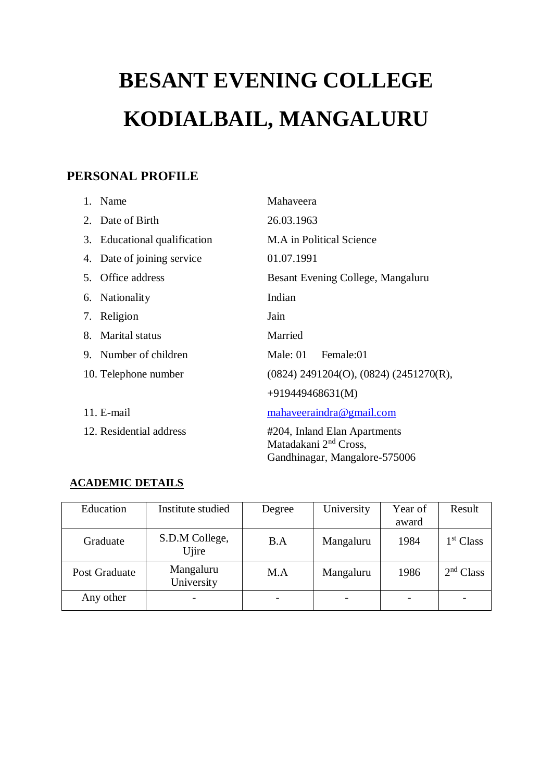# **BESANT EVENING COLLEGE KODIALBAIL, MANGALURU**

## **PERSONAL PROFILE**

|    | 1. Name                      | Mahaveera                                                                                          |  |  |
|----|------------------------------|----------------------------------------------------------------------------------------------------|--|--|
|    | 2. Date of Birth             | 26.03.1963                                                                                         |  |  |
|    | 3. Educational qualification | M.A in Political Science                                                                           |  |  |
|    | 4. Date of joining service   | 01.07.1991                                                                                         |  |  |
|    | 5. Office address            | Besant Evening College, Mangaluru                                                                  |  |  |
|    | 6. Nationality               | Indian                                                                                             |  |  |
|    | 7. Religion                  | Jain                                                                                               |  |  |
| 8. | <b>Marital status</b>        | Married                                                                                            |  |  |
|    | 9. Number of children        | Male: 01 Female:01                                                                                 |  |  |
|    | 10. Telephone number         | $(0824)$ 2491204(O), $(0824)$ (2451270(R),                                                         |  |  |
|    |                              | $+919449468631(M)$                                                                                 |  |  |
|    | $11. E-mail$                 | mahaveeraindra@gmail.com                                                                           |  |  |
|    | 12. Residential address      | #204, Inland Elan Apartments<br>Matadakani 2 <sup>nd</sup> Cross,<br>Gandhinagar, Mangalore-575006 |  |  |

### **ACADEMIC DETAILS**

| Education     | Institute studied       | Degree | University | Year of<br>award | Result                |
|---------------|-------------------------|--------|------------|------------------|-----------------------|
| Graduate      | S.D.M College,<br>Ujire | B.A    | Mangaluru  | 1984             | 1 <sup>st</sup> Class |
| Post Graduate | Mangaluru<br>University | M.A    | Mangaluru  | 1986             | 2 <sup>nd</sup> Class |
| Any other     |                         |        |            |                  |                       |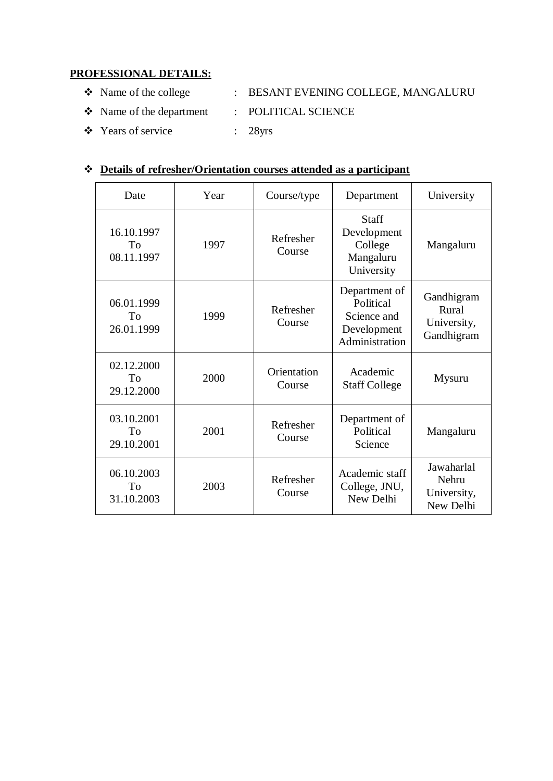#### **PROFESSIONAL DETAILS:**

- \* Name of the college : BESANT EVENING COLLEGE, MANGALURU
- Name of the department : POLITICAL SCIENCE
- Years of service : 28yrs

#### **Details of refresher/Orientation courses attended as a participant**

| Date                           | Year | Course/type           | Department                                                                 | University                                       |
|--------------------------------|------|-----------------------|----------------------------------------------------------------------------|--------------------------------------------------|
| 16.10.1997<br>To<br>08.11.1997 | 1997 | Refresher<br>Course   | <b>Staff</b><br>Development<br>College<br>Mangaluru<br>University          | Mangaluru                                        |
| 06.01.1999<br>To<br>26.01.1999 | 1999 | Refresher<br>Course   | Department of<br>Political<br>Science and<br>Development<br>Administration | Gandhigram<br>Rural<br>University,<br>Gandhigram |
| 02.12.2000<br>To<br>29.12.2000 | 2000 | Orientation<br>Course | Academic<br><b>Staff College</b>                                           | Mysuru                                           |
| 03.10.2001<br>To<br>29.10.2001 | 2001 | Refresher<br>Course   | Department of<br>Political<br>Science                                      | Mangaluru                                        |
| 06.10.2003<br>To<br>31.10.2003 | 2003 | Refresher<br>Course   | Academic staff<br>College, JNU,<br>New Delhi                               | Jawaharlal<br>Nehru<br>University,<br>New Delhi  |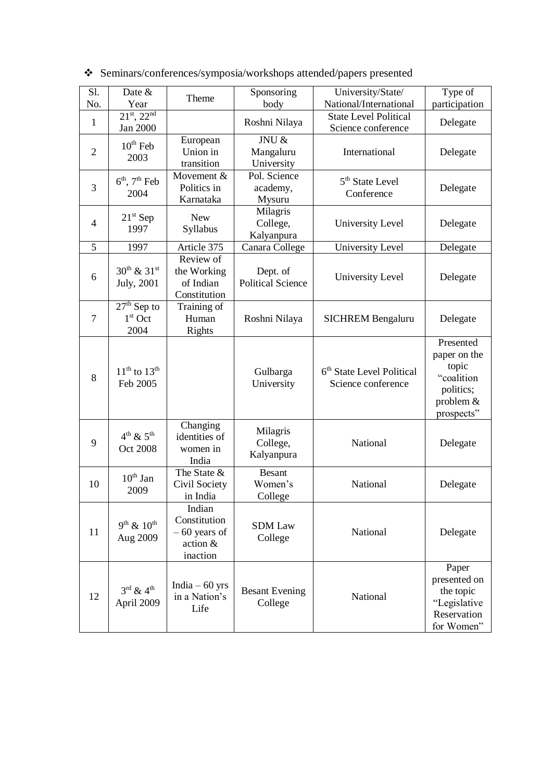| S1.<br>No.     | Date &<br>Year                                  | Theme                                                            | Sponsoring<br>body                   | University/State/<br>National/International                 | Type of<br>participation                                                                   |
|----------------|-------------------------------------------------|------------------------------------------------------------------|--------------------------------------|-------------------------------------------------------------|--------------------------------------------------------------------------------------------|
| 1              | $21^{st}$ , $22^{nd}$<br>Jan 2000               |                                                                  | Roshni Nilaya                        | <b>State Level Political</b><br>Science conference          | Delegate                                                                                   |
| $\overline{2}$ | $10^{th}$ Feb<br>2003                           | European<br>Union in<br>transition                               | JNU &<br>Mangaluru<br>University     | International                                               | Delegate                                                                                   |
| 3              | $6th$ , $7th$ Feb<br>2004                       | Movement &<br>Politics in<br>Karnataka                           | Pol. Science<br>academy,<br>Mysuru   | 5 <sup>th</sup> State Level<br>Conference                   | Delegate                                                                                   |
| $\overline{4}$ | $21st$ Sep<br>1997                              | <b>New</b><br>Syllabus                                           | Milagris<br>College,<br>Kalyanpura   | University Level                                            | Delegate                                                                                   |
| 5              | 1997                                            | Article 375                                                      | Canara College                       | University Level                                            | Delegate                                                                                   |
| 6              | $30^{th}$ & $31^{st}$<br>July, 2001             | Review of<br>the Working<br>of Indian<br>Constitution            | Dept. of<br><b>Political Science</b> | University Level                                            | Delegate                                                                                   |
| 7              | $27th$ Sep to<br>$1st$ Oct<br>2004              | Training of<br>Human<br>Rights                                   | Roshni Nilaya                        | <b>SICHREM Bengaluru</b>                                    | Delegate                                                                                   |
| 8              | $11th$ to $13th$<br>Feb 2005                    |                                                                  | Gulbarga<br>University               | 6 <sup>th</sup> State Level Political<br>Science conference | Presented<br>paper on the<br>topic<br>"coalition<br>politics;<br>problem $&$<br>prospects" |
| 9              | $4^{th}$ & $5^{th}$<br>Oct 2008                 | Changing<br>identities of<br>women in<br>India                   | Milagris<br>College,<br>Kalyanpura   | National                                                    | Delegate                                                                                   |
| 10             | $10^{th}$ Jan<br>2009                           | The State &<br>Civil Society<br>in India                         | <b>Besant</b><br>Women's<br>College  | National                                                    | Delegate                                                                                   |
| 11             | $9^{th}$ & $10^{th}$<br>Aug 2009                | Indian<br>Constitution<br>$-60$ years of<br>action &<br>inaction | <b>SDM</b> Law<br>College            | National                                                    | Delegate                                                                                   |
| 12             | $3^{\text{rd}}$ & $4^{\text{th}}$<br>April 2009 | India $-60$ yrs<br>in a Nation's<br>Life                         | <b>Besant Evening</b><br>College     | National                                                    | Paper<br>presented on<br>the topic<br>"Legislative<br>Reservation<br>for Women"            |

Seminars/conferences/symposia/workshops attended/papers presented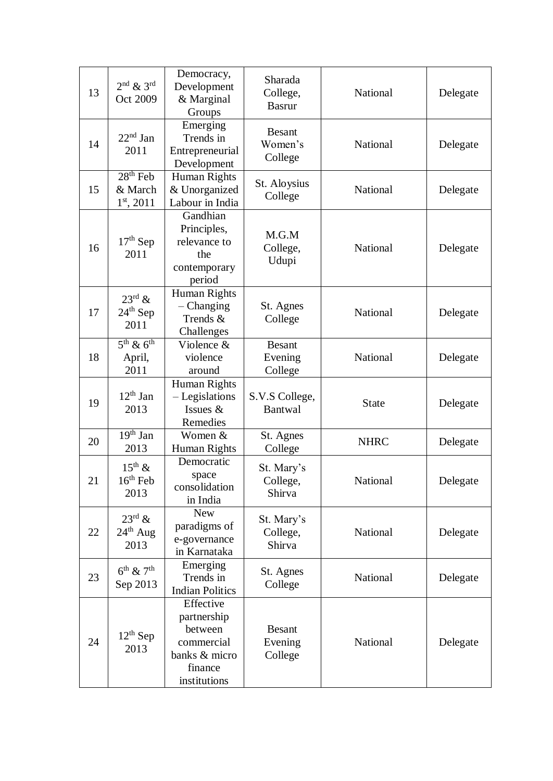| 13 | $2nd$ & $3rd$<br>Oct 2009                     | Democracy,<br>Development<br>& Marginal<br>Groups                                             | Sharada<br>College,<br><b>Basrur</b> | National        | Delegate |
|----|-----------------------------------------------|-----------------------------------------------------------------------------------------------|--------------------------------------|-----------------|----------|
| 14 | $22nd$ Jan<br>2011                            | Emerging<br>Trends in<br>Entrepreneurial<br>Development                                       | <b>Besant</b><br>Women's<br>College  | National        | Delegate |
| 15 | $28th$ Feb<br>& March<br>$1st$ , 2011         | Human Rights<br>& Unorganized<br>Labour in India                                              | St. Aloysius<br>College              | National        | Delegate |
| 16 | $17th$ Sep<br>2011                            | Gandhian<br>Principles,<br>relevance to<br>the<br>contemporary<br>period                      | M.G.M<br>College,<br>Udupi           | National        | Delegate |
| 17 | $23^{\text{rd}}$ &<br>$24th$ Sep<br>2011      | Human Rights<br>Changing<br>Trends &<br>Challenges                                            | St. Agnes<br>College                 | <b>National</b> | Delegate |
| 18 | $5th$ & $6th$<br>April,<br>2011               | Violence &<br>violence<br>around                                                              | <b>Besant</b><br>Evening<br>College  | National        | Delegate |
| 19 | $12th$ Jan<br>2013                            | <b>Human Rights</b><br>- Legislations<br>Issues &<br>Remedies                                 | S.V.S College,<br><b>Bantwal</b>     | <b>State</b>    | Delegate |
| 20 | $\overline{19^{th}}$ Jan<br>2013              | Women &<br>Human Rights                                                                       | St. Agnes<br>College                 | <b>NHRC</b>     | Delegate |
| 21 | $15^{th}$ &<br>$16th$ Feb<br>2013             | Democratic<br>space<br>consolidation<br>in India                                              | St. Mary's<br>College,<br>Shirva     | National        | Delegate |
| 22 | $23^{\text{rd}}$ &<br>$24th$ Aug<br>2013      | <b>New</b><br>paradigms of<br>e-governance<br>in Karnataka                                    | St. Mary's<br>College,<br>Shirva     | National        | Delegate |
| 23 | $6^{\text{th}}$ & $7^{\text{th}}$<br>Sep 2013 | Emerging<br>Trends in<br><b>Indian Politics</b>                                               | St. Agnes<br>College                 | National        | Delegate |
| 24 | $12^{th}$ Sep<br>2013                         | Effective<br>partnership<br>between<br>commercial<br>banks & micro<br>finance<br>institutions | <b>Besant</b><br>Evening<br>College  | National        | Delegate |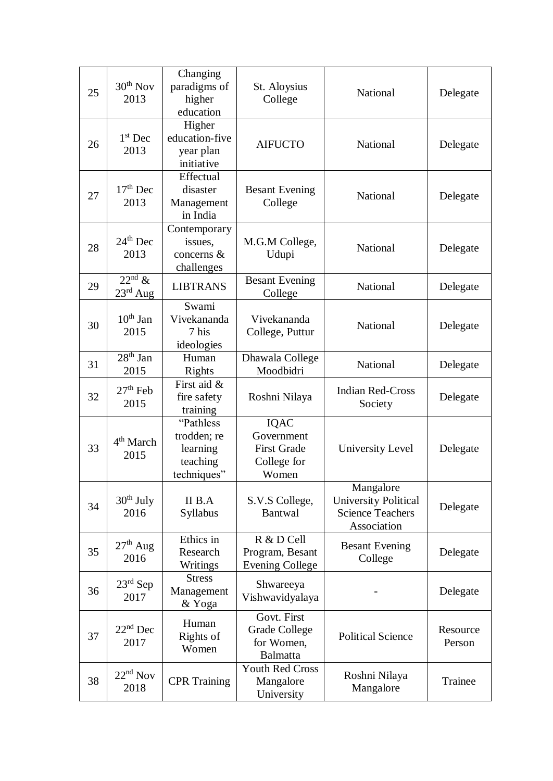| 25 | $30th$ Nov<br>2013               | Changing<br>paradigms of<br>higher<br>education                  | St. Aloysius<br>College                                                 | National                                                                           | Delegate           |
|----|----------------------------------|------------------------------------------------------------------|-------------------------------------------------------------------------|------------------------------------------------------------------------------------|--------------------|
| 26 | $1st$ Dec<br>2013                | Higher<br>education-five<br>year plan<br>initiative              | <b>AIFUCTO</b>                                                          | National                                                                           | Delegate           |
| 27 | $17th$ Dec<br>2013               | Effectual<br>disaster<br>Management<br>in India                  | <b>Besant Evening</b><br>College                                        | National                                                                           | Delegate           |
| 28 | $24th$ Dec<br>2013               | Contemporary<br>issues,<br>concerns &<br>challenges              | M.G.M College,<br>Udupi                                                 | National                                                                           | Delegate           |
| 29 | $22nd$ &<br>$23^{\text{rd}}$ Aug | <b>LIBTRANS</b>                                                  | <b>Besant Evening</b><br>College                                        | National                                                                           | Delegate           |
| 30 | $10th$ Jan<br>2015               | Swami<br>Vivekananda<br>7 his<br>ideologies                      | Vivekananda<br>College, Puttur                                          | National                                                                           | Delegate           |
| 31 | $28th$ Jan<br>2015               | Human<br>Rights                                                  | Dhawala College<br>Moodbidri                                            | National                                                                           | Delegate           |
| 32 | $27th$ Feb<br>2015               | First aid &<br>fire safety<br>training                           | Roshni Nilaya                                                           | <b>Indian Red-Cross</b><br>Society                                                 | Delegate           |
| 33 | 4 <sup>th</sup> March<br>2015    | "Pathless"<br>trodden; re<br>learning<br>teaching<br>techniques" | <b>IQAC</b><br>Government<br><b>First Grade</b><br>College for<br>Women | University Level                                                                   | Delegate           |
| 34 | $30th$ July<br>2016              | II B.A<br>Syllabus                                               | S.V.S College,<br>Bantwal                                               | Mangalore<br><b>University Political</b><br><b>Science Teachers</b><br>Association | Delegate           |
| 35 | $27th$ Aug<br>2016               | Ethics in<br>Research<br>Writings                                | R & D Cell<br>Program, Besant<br><b>Evening College</b>                 | <b>Besant Evening</b><br>College                                                   | Delegate           |
| 36 | $23rd$ Sep<br>2017               | <b>Stress</b><br>Management<br>& Yoga                            | Shwareeya<br>Vishwavidyalaya                                            |                                                                                    | Delegate           |
| 37 | $22nd$ Dec<br>2017               | Human<br>Rights of<br>Women                                      | Govt. First<br><b>Grade College</b><br>for Women,<br><b>Balmatta</b>    | <b>Political Science</b>                                                           | Resource<br>Person |
| 38 | $22nd$ Nov<br>2018               | <b>CPR</b> Training                                              | <b>Youth Red Cross</b><br>Mangalore<br>University                       | Roshni Nilaya<br>Mangalore                                                         | Trainee            |